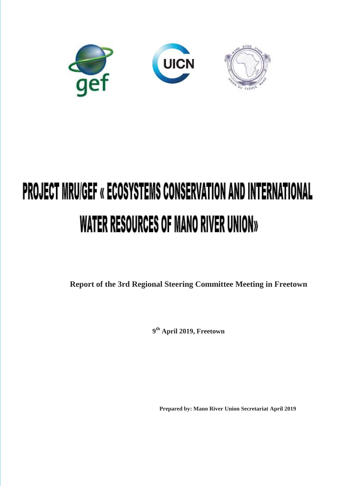

# **PROJECT MRU/GEF « ECOSYSTEMS CONSERVATION AND INTERNATIONAL** WATER RESOURCES OF MANO RIVER UNION»

**Report of the 3rd Regional Steering Committee Meeting in Freetown**

**9 th April 2019, Freetown**

**Prepared by: Mano River Union Secretariat April 2019**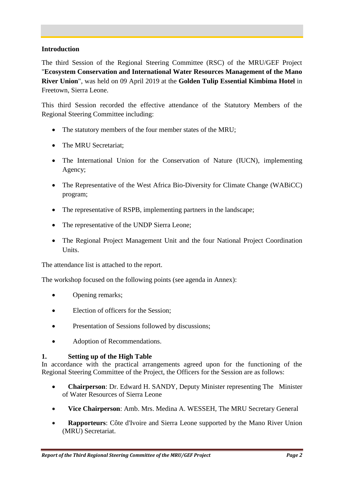#### **Introduction**

The third Session of the Regional Steering Committee (RSC) of the MRU/GEF Project "**Ecosystem Conservation and International Water Resources Management of the Mano River Union**", was held on 09 April 2019 at the **Golden Tulip Essential Kimbima Hotel** in Freetown, Sierra Leone.

This third Session recorded the effective attendance of the Statutory Members of the Regional Steering Committee including:

- The statutory members of the four member states of the MRU;
- The MRU Secretariat;
- The International Union for the Conservation of Nature (IUCN), implementing Agency;
- The Representative of the West Africa Bio-Diversity for Climate Change (WABiCC) program;
- The representative of RSPB, implementing partners in the landscape;
- The representative of the UNDP Sierra Leone;
- The Regional Project Management Unit and the four National Project Coordination Units.

The attendance list is attached to the report.

The workshop focused on the following points (see agenda in Annex):

- Opening remarks;
- Election of officers for the Session;
- Presentation of Sessions followed by discussions;
- Adoption of Recommendations.

#### **1. Setting up of the High Table**

In accordance with the practical arrangements agreed upon for the functioning of the Regional Steering Committee of the Project, the Officers for the Session are as follows:

- **Chairperson**: Dr. Edward H. SANDY, Deputy Minister representing The Minister of Water Resources of Sierra Leone
- **Vice Chairperson**: Amb. Mrs. Medina A. WESSEH, The MRU Secretary General
- **Rapporteurs**: Côte d'Ivoire and Sierra Leone supported by the Mano River Union (MRU) Secretariat.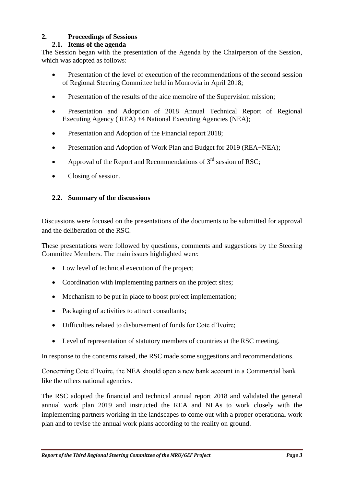# **2. Proceedings of Sessions**

## **2.1. Items of the agenda**

The Session began with the presentation of the Agenda by the Chairperson of the Session, which was adopted as follows:

- Presentation of the level of execution of the recommendations of the second session of Regional Steering Committee held in Monrovia in April 2018;
- Presentation of the results of the aide memoire of the Supervision mission;
- Presentation and Adoption of 2018 Annual Technical Report of Regional Executing Agency ( REA) +4 National Executing Agencies (NEA);
- Presentation and Adoption of the Financial report 2018;
- Presentation and Adoption of Work Plan and Budget for 2019 (REA+NEA);
- Approval of the Report and Recommendations of  $3<sup>rd</sup>$  session of RSC:
- Closing of session.

## **2.2. Summary of the discussions**

Discussions were focused on the presentations of the documents to be submitted for approval and the deliberation of the RSC.

These presentations were followed by questions, comments and suggestions by the Steering Committee Members. The main issues highlighted were:

- Low level of technical execution of the project;
- Coordination with implementing partners on the project sites;
- Mechanism to be put in place to boost project implementation;
- Packaging of activities to attract consultants;
- Difficulties related to disbursement of funds for Cote d'Ivoire;
- Level of representation of statutory members of countries at the RSC meeting.

In response to the concerns raised, the RSC made some suggestions and recommendations.

Concerning Cote d'Ivoire, the NEA should open a new bank account in a Commercial bank like the others national agencies.

The RSC adopted the financial and technical annual report 2018 and validated the general annual work plan 2019 and instructed the REA and NEAs to work closely with the implementing partners working in the landscapes to come out with a proper operational work plan and to revise the annual work plans according to the reality on ground.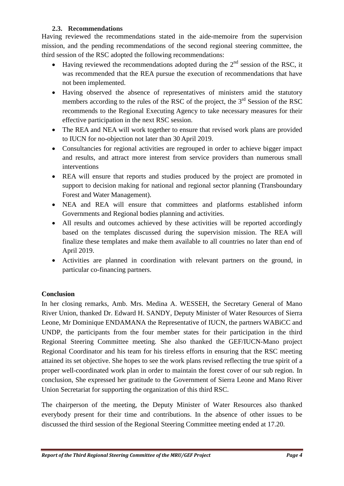## **2.3. Recommendations**

Having reviewed the recommendations stated in the aide-memoire from the supervision mission, and the pending recommendations of the second regional steering committee, the third session of the RSC adopted the following recommendations:

- $\bullet$  Having reviewed the recommendations adopted during the  $2^{nd}$  session of the RSC, it was recommended that the REA pursue the execution of recommendations that have not been implemented.
- Having observed the absence of representatives of ministers amid the statutory members according to the rules of the RSC of the project, the  $3<sup>rd</sup>$  Session of the RSC recommends to the Regional Executing Agency to take necessary measures for their effective participation in the next RSC session.
- The REA and NEA will work together to ensure that revised work plans are provided to IUCN for no-objection not later than 30 April 2019.
- Consultancies for regional activities are regrouped in order to achieve bigger impact and results, and attract more interest from service providers than numerous small interventions
- REA will ensure that reports and studies produced by the project are promoted in support to decision making for national and regional sector planning (Transboundary Forest and Water Management).
- NEA and REA will ensure that committees and platforms established inform Governments and Regional bodies planning and activities.
- All results and outcomes achieved by these activities will be reported accordingly based on the templates discussed during the supervision mission. The REA will finalize these templates and make them available to all countries no later than end of April 2019.
- Activities are planned in coordination with relevant partners on the ground, in particular co-financing partners.

## **Conclusion**

In her closing remarks, Amb. Mrs. Medina A. WESSEH, the Secretary General of Mano River Union, thanked Dr. Edward H. SANDY, Deputy Minister of Water Resources of Sierra Leone, Mr Dominique ENDAMANA the Representative of IUCN, the partners WABiCC and UNDP, the participants from the four member states for their participation in the third Regional Steering Committee meeting. She also thanked the GEF/IUCN-Mano project Regional Coordinator and his team for his tireless efforts in ensuring that the RSC meeting attained its set objective. She hopes to see the work plans revised reflecting the true spirit of a proper well-coordinated work plan in order to maintain the forest cover of our sub region. In conclusion, She expressed her gratitude to the Government of Sierra Leone and Mano River Union Secretariat for supporting the organization of this third RSC.

The chairperson of the meeting, the Deputy Minister of Water Resources also thanked everybody present for their time and contributions. In the absence of other issues to be discussed the third session of the Regional Steering Committee meeting ended at 17.20.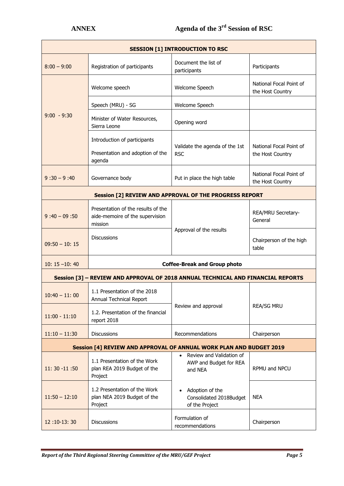| <b>SESSION [1] INTRODUCTION TO RSC</b>                                           |                                                                                  |                                                               |                                             |  |  |
|----------------------------------------------------------------------------------|----------------------------------------------------------------------------------|---------------------------------------------------------------|---------------------------------------------|--|--|
| $8:00 - 9:00$                                                                    | Registration of participants                                                     | Document the list of<br>participants                          | Participants                                |  |  |
| $9:00 - 9:30$                                                                    | Welcome speech                                                                   | Welcome Speech                                                | National Focal Point of<br>the Host Country |  |  |
|                                                                                  | Speech (MRU) - SG                                                                | Welcome Speech                                                |                                             |  |  |
|                                                                                  | Minister of Water Resources,<br>Sierra Leone                                     | Opening word                                                  |                                             |  |  |
|                                                                                  | Introduction of participants                                                     | Validate the agenda of the 1st<br><b>RSC</b>                  | National Focal Point of<br>the Host Country |  |  |
|                                                                                  | Presentation and adoption of the<br>agenda                                       |                                                               |                                             |  |  |
| $9:30 - 9:40$                                                                    | Governance body                                                                  | Put in place the high table                                   | National Focal Point of<br>the Host Country |  |  |
| Session [2] REVIEW AND APPROVAL OF THE PROGRESS REPORT                           |                                                                                  |                                                               |                                             |  |  |
| $9:40 - 09:50$                                                                   | Presentation of the results of the<br>aide-memoire of the supervision<br>mission | Approval of the results                                       | REA/MRU Secretary-<br>General               |  |  |
| $09:50 - 10:15$                                                                  | <b>Discussions</b>                                                               |                                                               | Chairperson of the high<br>table            |  |  |
| $10: 15 - 10: 40$                                                                | <b>Coffee-Break and Group photo</b>                                              |                                                               |                                             |  |  |
| Session [3] - REVIEW AND APPROVAL OF 2018 ANNUAL TECHNICAL AND FINANCIAL REPORTS |                                                                                  |                                                               |                                             |  |  |
| $10:40 - 11:00$                                                                  | 1.1 Presentation of the 2018<br>Annual Technical Report                          | Review and approval                                           | <b>REA/SG MRU</b>                           |  |  |
| $11:00 - 11:10$                                                                  | 1.2. Presentation of the financial<br>report 2018                                |                                                               |                                             |  |  |
| $11:10 - 11:30$                                                                  | <b>Discussions</b>                                                               | Recommendations                                               | Chairperson                                 |  |  |
| Session [4] REVIEW AND APPROVAL OF ANNUAL WORK PLAN AND BUDGET 2019              |                                                                                  |                                                               |                                             |  |  |
| $11:30 - 11:50$                                                                  | 1.1 Presentation of the Work<br>plan REA 2019 Budget of the<br>Project           | Review and Validation of<br>AWP and Budget for REA<br>and NEA | RPMU and NPCU                               |  |  |
| $11:50 - 12:10$                                                                  | 1.2 Presentation of the Work<br>plan NEA 2019 Budget of the<br>Project           | Adoption of the<br>Consolidated 2018Budget<br>of the Project  | <b>NEA</b>                                  |  |  |
| 12:10-13:30                                                                      | <b>Discussions</b>                                                               | Formulation of<br>recommendations                             | Chairperson                                 |  |  |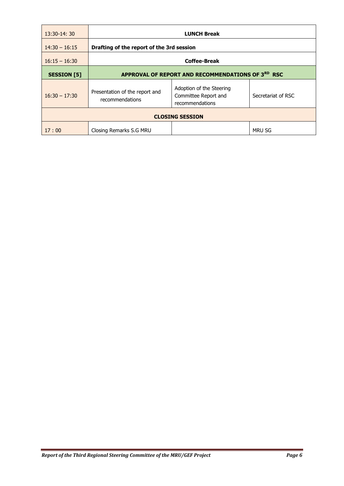| $13:30-14:30$          | <b>LUNCH Break</b>                                |                                                                     |                    |  |  |
|------------------------|---------------------------------------------------|---------------------------------------------------------------------|--------------------|--|--|
| $14:30 - 16:15$        | Drafting of the report of the 3rd session         |                                                                     |                    |  |  |
| $16:15 - 16:30$        | <b>Coffee-Break</b>                               |                                                                     |                    |  |  |
| <b>SESSION</b> [5]     | APPROVAL OF REPORT AND RECOMMENDATIONS OF 3RD RSC |                                                                     |                    |  |  |
| $16:30 - 17:30$        | Presentation of the report and<br>recommendations | Adoption of the Steering<br>Committee Report and<br>recommendations | Secretariat of RSC |  |  |
| <b>CLOSING SESSION</b> |                                                   |                                                                     |                    |  |  |
| 17:00                  | Closing Remarks S.G MRU                           |                                                                     | <b>MRU SG</b>      |  |  |